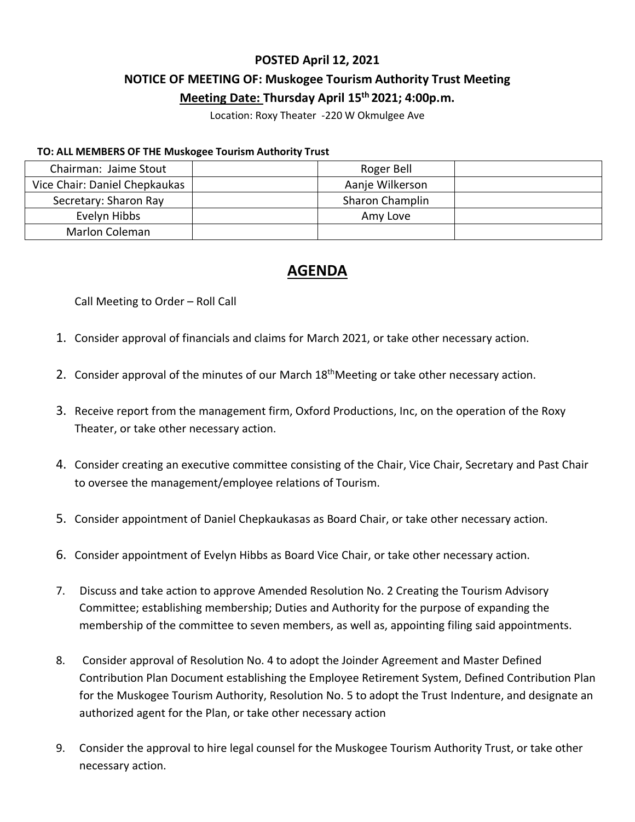### **POSTED April 12, 2021**

# **NOTICE OF MEETING OF: Muskogee Tourism Authority Trust Meeting**

### **Meeting Date: Thursday April 15 th 2021; 4:00p.m.**

Location: Roxy Theater -220 W Okmulgee Ave

#### **TO: ALL MEMBERS OF THE Muskogee Tourism Authority Trust**

| Chairman: Jaime Stout         | Roger Bell      |  |
|-------------------------------|-----------------|--|
| Vice Chair: Daniel Chepkaukas | Aanje Wilkerson |  |
| Secretary: Sharon Ray         | Sharon Champlin |  |
| Evelyn Hibbs                  | Amy Love        |  |
| Marlon Coleman                |                 |  |

## **AGENDA**

Call Meeting to Order – Roll Call

- 1. Consider approval of financials and claims for March 2021, or take other necessary action.
- 2. Consider approval of the minutes of our March 18<sup>th</sup>Meeting or take other necessary action.
- 3. Receive report from the management firm, Oxford Productions, Inc, on the operation of the Roxy Theater, or take other necessary action.
- 4. Consider creating an executive committee consisting of the Chair, Vice Chair, Secretary and Past Chair to oversee the management/employee relations of Tourism.
- 5. Consider appointment of Daniel Chepkaukasas as Board Chair, or take other necessary action.
- 6. Consider appointment of Evelyn Hibbs as Board Vice Chair, or take other necessary action.
- 7. Discuss and take action to approve Amended Resolution No. 2 Creating the Tourism Advisory Committee; establishing membership; Duties and Authority for the purpose of expanding the membership of the committee to seven members, as well as, appointing filing said appointments.
- 8. Consider approval of Resolution No. 4 to adopt the Joinder Agreement and Master Defined Contribution Plan Document establishing the Employee Retirement System, Defined Contribution Plan for the Muskogee Tourism Authority, Resolution No. 5 to adopt the Trust Indenture, and designate an authorized agent for the Plan, or take other necessary action
- 9. Consider the approval to hire legal counsel for the Muskogee Tourism Authority Trust, or take other necessary action.